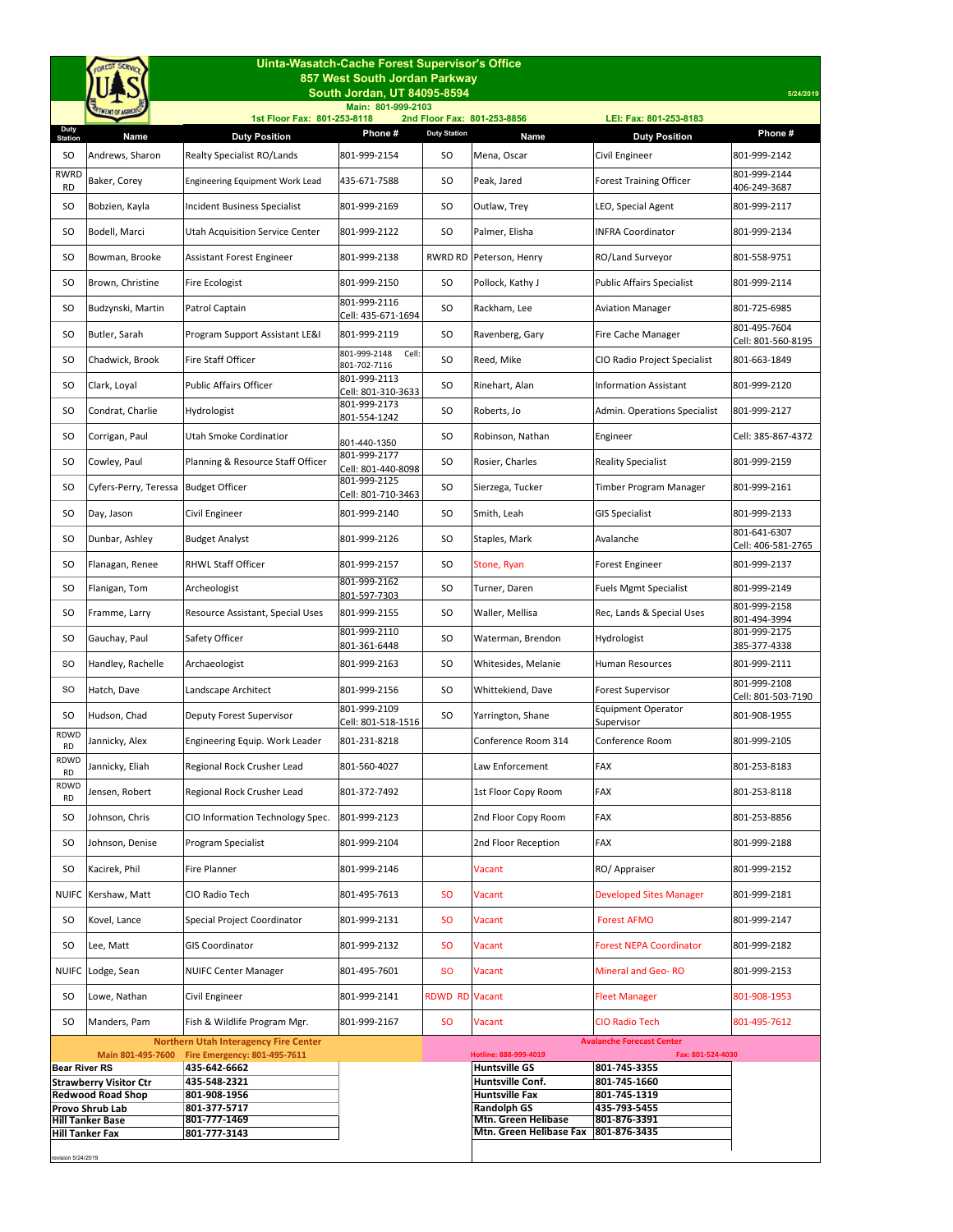| Uinta-Wasatch-Cache Forest Supervisor's Office            |                                                                           |                                                                              |                                       |                     |                                           |                                                       |                                    |  |  |  |  |
|-----------------------------------------------------------|---------------------------------------------------------------------------|------------------------------------------------------------------------------|---------------------------------------|---------------------|-------------------------------------------|-------------------------------------------------------|------------------------------------|--|--|--|--|
|                                                           | 857 West South Jordan Parkway<br>South Jordan, UT 84095-8594<br>5/24/2019 |                                                                              |                                       |                     |                                           |                                                       |                                    |  |  |  |  |
|                                                           |                                                                           |                                                                              | Main: 801-999-2103                    |                     |                                           |                                                       |                                    |  |  |  |  |
| Duty<br><b>Station</b>                                    | Name                                                                      | 1st Floor Fax: 801-253-8118<br><b>Duty Position</b>                          | Phone#                                | <b>Duty Station</b> | 2nd Floor Fax: 801-253-8856<br>Name       | LEI: Fax: 801-253-8183<br><b>Duty Position</b>        | Phone #                            |  |  |  |  |
| SO.                                                       | Andrews, Sharon                                                           | Realty Specialist RO/Lands                                                   | 801-999-2154                          | <b>SO</b>           | Mena, Oscar                               | Civil Engineer                                        | 801-999-2142                       |  |  |  |  |
| <b>RWRD</b><br><b>RD</b>                                  | Baker, Corey                                                              | <b>Engineering Equipment Work Lead</b>                                       | 435-671-7588                          | SO.                 | Peak, Jared                               | <b>Forest Training Officer</b>                        | 801-999-2144<br>406-249-3687       |  |  |  |  |
| SO                                                        | Bobzien, Kayla                                                            | Incident Business Specialist                                                 | 801-999-2169                          | SO                  | Outlaw, Trey                              | LEO, Special Agent                                    | 801-999-2117                       |  |  |  |  |
| SO.                                                       | Bodell, Marci                                                             | <b>Utah Acquisition Service Center</b>                                       | 801-999-2122                          | <b>SO</b>           | Palmer, Elisha                            | <b>INFRA Coordinator</b>                              | 801-999-2134                       |  |  |  |  |
| SO                                                        | Bowman, Brooke                                                            | <b>Assistant Forest Engineer</b>                                             | 801-999-2138                          | RWRD RD             | Peterson, Henry                           | RO/Land Surveyor                                      | 801-558-9751                       |  |  |  |  |
| SO                                                        | Brown, Christine                                                          | Fire Ecologist                                                               | 801-999-2150                          | <b>SO</b>           | Pollock, Kathy J                          | <b>Public Affairs Specialist</b>                      | 801-999-2114                       |  |  |  |  |
| SO                                                        | Budzynski, Martin                                                         | Patrol Captain                                                               | 801-999-2116<br>Cell: 435-671-1694    | <b>SO</b>           | Rackham, Lee                              | <b>Aviation Manager</b>                               | 801-725-6985                       |  |  |  |  |
| SO                                                        | Butler, Sarah                                                             | Program Support Assistant LE&I                                               | 801-999-2119                          | <b>SO</b>           | Ravenberg, Gary                           | Fire Cache Manager                                    | 801-495-7604<br>Cell: 801-560-8195 |  |  |  |  |
| SO                                                        | Chadwick, Brook                                                           | <b>Fire Staff Officer</b>                                                    | 801-999-2148<br>Cell:<br>801-702-7116 | <b>SO</b>           | Reed, Mike                                | CIO Radio Project Specialist                          | 801-663-1849                       |  |  |  |  |
| SO                                                        | Clark, Loyal                                                              | <b>Public Affairs Officer</b>                                                | 801-999-2113<br>Cell: 801-310-3633    | SO                  | Rinehart, Alan                            | <b>Information Assistant</b>                          | 801-999-2120                       |  |  |  |  |
| SO                                                        | Condrat, Charlie                                                          | Hydrologist                                                                  | 801-999-2173<br>801-554-1242          | SO                  | Roberts, Jo                               | Admin. Operations Specialist                          | 801-999-2127                       |  |  |  |  |
| SO.                                                       | Corrigan, Paul                                                            | Utah Smoke Cordinatior                                                       | 801-440-1350                          | <b>SO</b>           | Robinson, Nathan                          | Engineer                                              | Cell: 385-867-4372                 |  |  |  |  |
| SO                                                        | Cowley, Paul                                                              | Planning & Resource Staff Officer                                            | 801-999-2177<br>Cell: 801-440-8098    | SO                  | Rosier, Charles                           | <b>Reality Specialist</b>                             | 801-999-2159                       |  |  |  |  |
| SO.                                                       | Cyfers-Perry, Teressa                                                     | <b>Budget Officer</b>                                                        | 801-999-2125<br>Cell: 801-710-3463    | SO                  | Sierzega, Tucker                          | Timber Program Manager                                | 801-999-2161                       |  |  |  |  |
| SO                                                        | Day, Jason                                                                | Civil Engineer                                                               | 801-999-2140                          | SO                  | Smith, Leah                               | GIS Specialist                                        | 801-999-2133                       |  |  |  |  |
| SO.                                                       | Dunbar, Ashley                                                            | <b>Budget Analyst</b>                                                        | 801-999-2126                          | SO.                 | Staples, Mark                             | Avalanche                                             | 801-641-6307<br>Cell: 406-581-2765 |  |  |  |  |
| SO                                                        | Flanagan, Renee                                                           | <b>RHWL Staff Officer</b>                                                    | 801-999-2157                          | SO                  | Stone, Ryan                               | Forest Engineer                                       | 801-999-2137                       |  |  |  |  |
| SO                                                        | Flanigan, Tom                                                             | Archeologist                                                                 | 801-999-2162<br>801-597-7303          | <b>SO</b>           | Turner, Daren                             | <b>Fuels Mgmt Specialist</b>                          | 801-999-2149                       |  |  |  |  |
| SO.                                                       | Framme, Larry                                                             | Resource Assistant, Special Uses                                             | 801-999-2155                          | <b>SO</b>           | Waller, Mellisa                           | Rec, Lands & Special Uses                             | 801-999-2158<br>801-494-3994       |  |  |  |  |
| SO                                                        | Gauchay, Paul                                                             | Safety Officer                                                               | 801-999-2110<br>801-361-6448          | SO                  | Waterman, Brendon                         | Hydrologist                                           | 801-999-2175<br>385-377-4338       |  |  |  |  |
| SO                                                        | Handley, Rachelle                                                         | Archaeologist                                                                | 801-999-2163                          | SO                  | Whitesides, Melanie                       | <b>Human Resources</b>                                | 801-999-2111                       |  |  |  |  |
| SO.                                                       | Hatch, Dave                                                               | Landscape Architect                                                          | 801-999-2156                          | SO.                 | Whittekiend, Dave                         | Forest Supervisor                                     | 801-999-2108<br>Cell: 801-503-7190 |  |  |  |  |
| SO                                                        | Hudson, Chad                                                              | Deputy Forest Supervisor                                                     | 801-999-2109<br>Cell: 801-518-1516    | <b>SO</b>           | Yarrington, Shane                         | <b>Equipment Operator</b><br>Supervisor               | 801-908-1955                       |  |  |  |  |
| RDWD<br><b>RD</b>                                         | Jannicky, Alex                                                            | Engineering Equip. Work Leader                                               | 801-231-8218                          |                     | Conference Room 314                       | Conference Room                                       | 801-999-2105                       |  |  |  |  |
| RDWD<br><b>RD</b>                                         | Jannicky, Eliah                                                           | Regional Rock Crusher Lead                                                   | 801-560-4027                          |                     | Law Enforcement                           | FAX                                                   | 801-253-8183                       |  |  |  |  |
| RDWD<br>RD                                                | Jensen, Robert                                                            | Regional Rock Crusher Lead                                                   | 801-372-7492                          |                     | 1st Floor Copy Room                       | FAX                                                   | 801-253-8118                       |  |  |  |  |
| SO                                                        | Johnson, Chris                                                            | CIO Information Technology Spec.                                             | 801-999-2123                          |                     | 2nd Floor Copy Room                       | FAX                                                   | 801-253-8856                       |  |  |  |  |
| SO.                                                       | Johnson, Denise                                                           | Program Specialist                                                           | 801-999-2104                          |                     | 2nd Floor Reception                       | FAX                                                   | 801-999-2188                       |  |  |  |  |
| <b>SO</b>                                                 | Kacirek, Phil                                                             | Fire Planner                                                                 | 801-999-2146                          |                     | Vacant                                    | RO/ Appraiser                                         | 801-999-2152                       |  |  |  |  |
| <b>NUIFC</b>                                              | Kershaw, Matt                                                             | CIO Radio Tech                                                               | 801-495-7613                          | <b>SO</b>           | Vacant                                    | <b>Developed Sites Manager</b>                        | 801-999-2181                       |  |  |  |  |
| SO                                                        | Kovel, Lance                                                              | Special Project Coordinator                                                  | 801-999-2131                          | <b>SO</b>           | Vacant                                    | <b>Forest AFMO</b>                                    | 801-999-2147                       |  |  |  |  |
| SO.                                                       | Lee, Matt                                                                 | <b>GIS Coordinator</b>                                                       | 801-999-2132                          | <b>SO</b>           | Vacant                                    | <b>Forest NEPA Coordinator</b>                        | 801-999-2182                       |  |  |  |  |
|                                                           | NUIFC Lodge, Sean                                                         | <b>NUIFC Center Manager</b>                                                  | 801-495-7601                          | <b>SO</b>           | Vacant                                    | Mineral and Geo-RO                                    | 801-999-2153                       |  |  |  |  |
| SO                                                        | Lowe, Nathan                                                              | Civil Engineer                                                               | 801-999-2141                          | <b>RDWD RD</b>      | Vacant                                    | <b>Fleet Manager</b>                                  | 801-908-1953                       |  |  |  |  |
| SO                                                        | Manders, Pam                                                              | Fish & Wildlife Program Mgr.                                                 | 801-999-2167                          | <b>SO</b>           | Vacant                                    | <b>CIO Radio Tech</b>                                 | 801-495-7612                       |  |  |  |  |
|                                                           | Main 801-495-7600                                                         | <b>Northern Utah Interagency Fire Center</b><br>Fire Emergency: 801-495-7611 |                                       |                     | Hotline: 888-999-4019                     | <b>Avalanche Forecast Center</b><br>Fax: 801-524-4030 |                                    |  |  |  |  |
| <b>Bear River RS</b>                                      |                                                                           | 435-642-6662                                                                 |                                       |                     | <b>Huntsville GS</b>                      | 801-745-3355                                          |                                    |  |  |  |  |
| <b>Strawberry Visitor Ctr</b><br><b>Redwood Road Shop</b> |                                                                           | 435-548-2321<br>801-908-1956                                                 |                                       |                     | Huntsville Conf.<br><b>Huntsville Fax</b> | 801-745-1660<br>801-745-1319                          |                                    |  |  |  |  |
|                                                           | Provo Shrub Lab                                                           | 801-377-5717                                                                 |                                       |                     | <b>Randolph GS</b>                        | 435-793-5455                                          |                                    |  |  |  |  |
|                                                           | <b>Hill Tanker Base</b>                                                   | 801-777-1469                                                                 |                                       |                     | <b>Mtn. Green Helibase</b>                | 801-876-3391                                          |                                    |  |  |  |  |
| <b>Hill Tanker Fax</b>                                    |                                                                           | 801-777-3143                                                                 |                                       |                     | Mtn. Green Helibase Fax                   | 801-876-3435                                          |                                    |  |  |  |  |
|                                                           |                                                                           |                                                                              |                                       |                     |                                           |                                                       |                                    |  |  |  |  |
| revision 5/24/2019                                        |                                                                           |                                                                              |                                       |                     |                                           |                                                       |                                    |  |  |  |  |